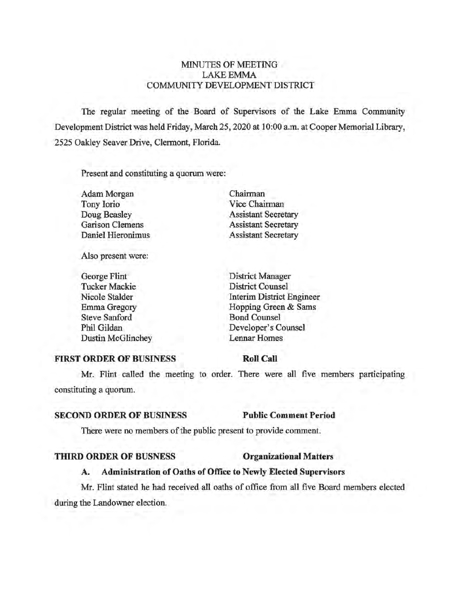# MINUTES OF MEETING LAKEEMMA COMMUNITY DEVELOPMENT DISTRICT

The regular meeting of the Board of Supervisors of the Lake Emma Community Development District was held Friday, March 25, 2020 at 10:00 a.m. at Cooper Memorial Library, 2525 Oakley Seaver Drive, Clermont, Florida.

Present and constituting a quorum were:

| Chairman                   |
|----------------------------|
| Vice Chairman              |
| <b>Assistant Secretary</b> |
| <b>Assistant Secretary</b> |
| <b>Assistant Secretary</b> |
|                            |

Also present were:

| George Flint             | District Manager                 |
|--------------------------|----------------------------------|
| <b>Tucker Mackie</b>     | <b>District Counsel</b>          |
| Nicole Stalder           | <b>Interim District Engineer</b> |
| Emma Gregory             | Hopping Green & Sams             |
| <b>Steve Sanford</b>     | <b>Bond Counsel</b>              |
| Phil Gildan              | Developer's Counsel              |
| <b>Dustin McGlinchey</b> | <b>Lennar Homes</b>              |
|                          |                                  |

### **FIRST ORDER OF BUSINESS**

**Roll Call** 

Mr. Flint called the meeting to order. There were all five members participating constituting a quorum.

# **SECOND ORDER OF BUSINESS Public Comment Period**

There were no members of the public present to provide comment.

#### **THIRD ORDER OF BUSNESS Organizational Matters**

# **A. Administration of Oaths of Office to Newly Elected Supervisors**

Mr. Flint stated he had received all oaths of office from all five Board members elected during the Landowner election.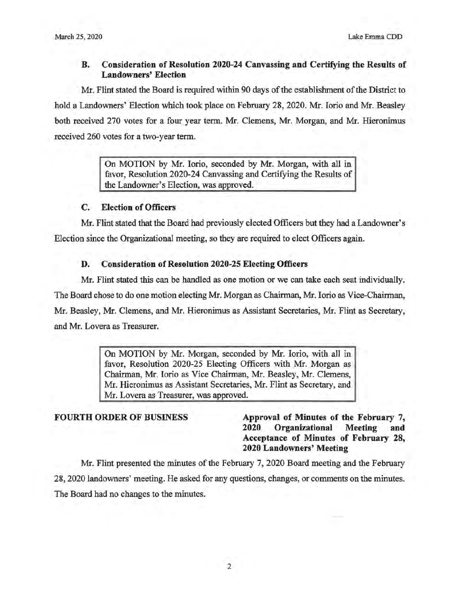# **B. Consideration of Resolution 2020-24 Canvassing and Certifying the Results of Landowners' Election**

Mr. Flint stated the Board is required within 90 days of the establishment of the District to hold a Landowners' Election which took place on February 28, 2020. Mr. Iorio and Mr. Beasley both received 270 votes for a four year term. Mr. Clemens, Mr. Morgan, and Mr. Hieronimus received 260 votes for a two-year term.

> On MOTION by Mr. Iorio, seconded by Mr. Morgan, with all in favor, Resolution 2020-24 Canvassing and Certifying the Results of the Landowner's Election, was approved.

# **C. Election of Officers**

Mr. Flint stated that the Board had previously elected Officers but they had a Landowner's Election since the Organizational meeting, so they are required to elect Officers again.

# **D. Consideration of Resolution 2020-25 Electing Officers**

Mr. Flint stated this can be handled as one motion or we can take each seat individually. The Board chose to do one motion electing Mr. Morgan as Chairman, Mr. Iorio as Vice-Chairman, Mr. Beasley, Mr. Clemens, and Mr. Hieronimus as Assistant Secretaries, Mr. Flint as Secretary, and Mr. Lovera as Treasurer.

> On MOTION by Mr. Morgan, seconded by Mr. Iorio, with all in favor, Resolution 2020-25 Electing Officers with Mr. Morgan as Chairman, Mr. Iorio as Vice Chairman, Mr. Beasley, Mr. Clemens, Mr. Hieronimus as Assistant Secretaries, Mr. Flint as Secretary, and Mr. Lovera as Treasurer, was approved.

**FOURTH ORDER OF BUSINESS Approval of Minutes of the February 7, 2020 Organizational Meeting and Acceptance of Minutes of February 28, 2020 Landowners' Meeting** 

Mr. Flint presented the minutes of the February 7, 2020 Board meeting and the February 28, 2020 landowners' meeting. He asked for any questions, changes, or comments on the minutes. The Board had no changes to the minutes.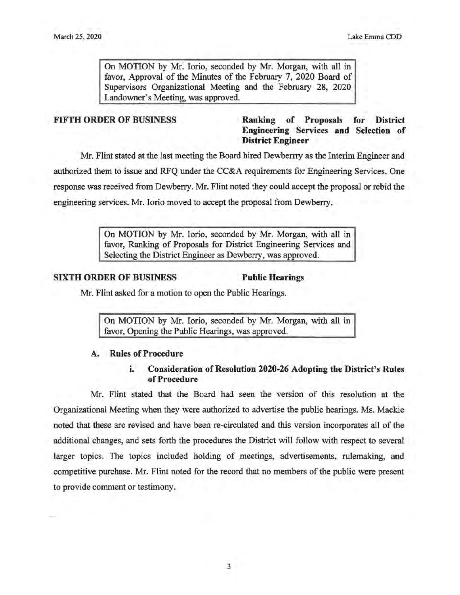On MOTION by Mr. Iorio, seconded by Mr. Morgan, with all in favor, Approval of the Minutes of the February 7, 2020 Board of Supervisors Organizational Meeting and the February 28, 2020 Landowner's Meeting, was approved.

# **FIFTH ORDER OF BUSINESS Ranking of Proposals for District Engineering Services and Selection of District Engineer**

Mr. Flint stated at the last meeting the Board hired Dewberrry as the Interim Engineer and authorized them to issue and RFQ under the CC&A requirements for Engineering Services. One response was received from Dewberry. Mr. Flint noted they could accept the proposal or rebid the engineering services. Mr. Iorio moved to accept the proposal from Dewberry.

> On MOTION by Mr. Iorio, seconded by Mr. Morgan, with all in favor, Ranking of Proposals for District Engineering Services and Selecting the District Engineer as Dewberry, was approved.

### **SIXTH ORDER OF BUSINESS Public Hearings**

Mr. Flint asked for a motion to open the Public Hearings.

On MOTION by Mr. Iorio, seconded by Mr. Morgan, with all in favor, Opening the Public Hearings, was approved.

## **A. Rules of Procedure**

### i. **Consideration of Resolution 2020-26 Adopting the District's Rules of Procedure**

Mr. Flint stated that the Board had seen the version of this resolution at the Organizational Meeting when they were authorized to advertise the public hearings. Ms. Mackie noted that these are revised and have been re-circulated and this version incorporates all of the additional changes, and sets forth the procedures the District will follow with respect to several larger topics. The topics included holding of meetings, advertisements, rulemaking, and competitive purchase. Mr. Flint noted for the record that no members of the public were present to provide comment or testimony.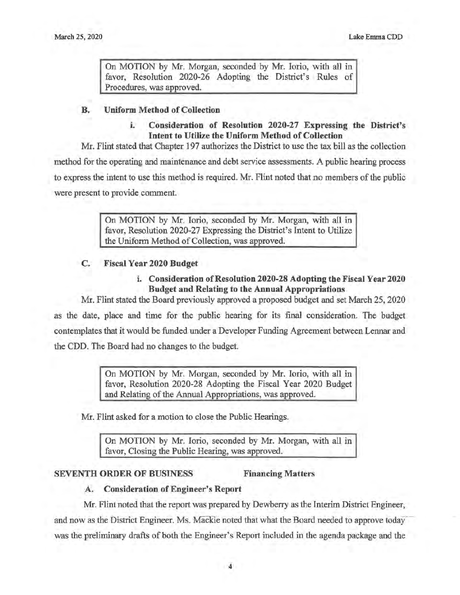On MOTION by Mr. Morgan, seconded by Mr. Iorio, with all in favor, Resolution 2020-26 Adopting the District's Rules of Procedures, was approved.

### **B. Uniform Method of Collection**

# i. **Consideration of Resolution 2020-27 Expressing the District's Intent to Utilize the Uniform Method of Collection**

Mr. Flint stated that Chapter 197 authorizes the District to use the tax bill as the collection method for the operating and maintenance and debt service assessments. A public hearing process to express the intent to use this method is required. Mr. Flint noted that no members of the public were present to provide comment.

> On MOTION by Mr. Iorio, seconded by Mr. Morgan, with all in favor, Resolution 2020-27 Expressing the District's Intent to Utilize the Uniform Method of Collection, was approved.

### **C. Fiscal Year 2020 Budget**

# i. **Consideration of Resolution 2020-28 Adopting the Fiscal Year 2020 Budget and Relating to the Annual Appropriations**

Mr. Flint stated the Board previously approved a proposed budget and set March 25, 2020 as the date, place and time for the public hearing for its final consideration. The budget contemplates that it would be funded under a Developer Funding Agreement between Lennar and the CDD. The Board had no changes to the budget.

> On MOTION by Mr. Morgan, seconded by Mr. Iorio, with all in favor, Resolution 2020-28 Adopting the Fiscal Year 2020 Budget and Relating of the Annual Appropriations, was approved.

Mr. Flint asked for a motion to close the Public Hearings.

On MOTION by Mr. Iorio, seconded by Mr. Morgan, with all in favor, Closing the Public Hearing, was approved.

# **SEVENTH ORDER OF BUSINESS Financing Matters**

# **A. Consideration of Engineer's Report**

Mr. Flint noted that the report was prepared by Dewberry as the Interim District Engineer, and now as the District Engineer. Ms. Mackie noted that what the Board needed to approve today was the preliminary drafts of both the Engineer's Report included in the agenda package and the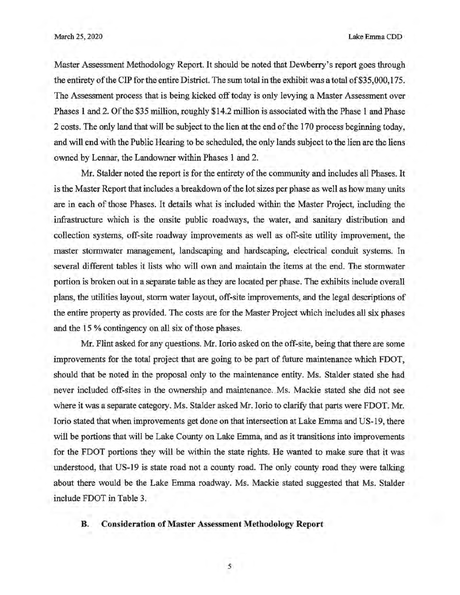March 25, 2020 Lake Emma CDD

Master Assessment Methodology Report. It should be noted that Dewberry's report goes through the entirety of the CIP for the entire District. The sum total in the exhibit was a total of\$35,000, 175. The Assessment process that is being kicked off today is only levying a Master Assessment over Phases 1 and 2. Of the \$35 million, roughly \$14.2 million is associated with the Phase 1 and Phase 2 costs. The only land that will be subject to the lien at the end of the 170 process beginning today, and will end with the Public Hearing to be scheduled, the only lands subject to the lien are the liens owned by Lennar, the Landowner within Phases 1 and 2.

Mr. Stalder noted the report is for the entirety of the community and includes all Phases. It is the Master Report that includes a breakdown of the lot sizes per phase as well as how many units are in each of those Phases. It details what is included within the Master Project, including the infrastructure which is the onsite public roadways, the water, and sanitary distribution and collection systems, off-site roadway improvements as well as off-site utility improvement, the master stormwater management, landscaping and hardscaping, electrical conduit systems. In several different tables it lists who will own and maintain the items at the end. The stormwater portion is broken out in a separate table as they are located per phase. The exhibits include overall plans, the utilities layout, storm water layout, off-site improvements, and the legal descriptions of the entire property as provided. The costs are for the Master Project which includes all six phases and the 15 % contingency on all six of those phases.

Mr. Flint asked for any questions. Mr. Iorio asked on the off-site, being that there are some improvements for the total project that are going to be part of future maintenance which FDOT, should that be noted in the proposal only to the maintenance entity. Ms. Stalder stated she had never included off-sites in the ownership and maintenance. Ms. Mackie stated she did not see where it was a separate category. Ms. Stalder asked Mr. Iorio to clarify that parts were FDOT. Mr. Iorio stated that when improvements get done on that intersection at Lake Emma and US-19, there will be portions that will be Lake County on Lake Emma, and as it transitions into improvements for the FDOT portions they will be within the state rights. He wanted to make sure that it was understood, that US-19 is state road not a county road. The only county road they were talking about there would be the Lake Emma roadway. Ms. Mackie stated suggested that Ms. Stalder include FDOT in Table 3.

#### **B. Consideration of Master Assessment Methodology Report**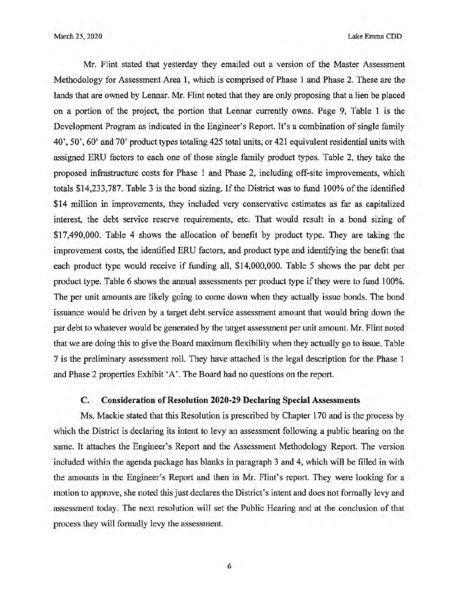March 25, 2020 Lake Emma COD

Mr. Flint stated that yesterday they emailed out a version of the Master Assessment Methodology for Assessment Area 1, which is comprised of Phase 1 and Phase 2. These are the lands that are owned by Lennar. Mr. Flint noted that they are only proposing that a lien be placed on a portion of the project, the portion that Lennar currently owns. Page 9, Table 1 is the Development Program as indicated in the Engineer's Report. It's a combination of single family 40', 50', 60' and 70' product types totaling 425 total units, or 421 equivalent residential units with assigned ERU factors to each one of those single family product types. Table 2, they take the proposed infrastructure costs for Phase 1 and Phase 2, including off-site improvements, which totals \$14,233,787. Table 3 is the bond sizing. If the District was to fund 100% of the identified \$14 million in improvements, they included very conservative estimates as far as capitalized interest, the debt service reserve requirements, etc. That would result in a bond sizing of \$17,490,000. Table 4 shows the allocation of benefit by product type. They are taking the improvement costs, the identified ERU factors, and product type and identifying the benefit that each product type would receive if funding all, \$14,000,000. Table 5 shows the par debt per product type. Table 6 shows the annual assessments per product type if they were to fund 100%. The per unit amounts are likely going to come down when they actually issue bonds. The bond issuance would be driven by a target debt service assessment amount that would bring down the par debt to whatever would be generated by the target assessment per unit amount. Mr. Flint noted that we are doing this to give the Board maximum flexibility when they actually go to issue. Table 7 is the preliminary assessment roll. They have attached is the legal description for the Phase 1 and Phase 2 properties Exhibit 'A'. The Board had no questions on the report.

## **C. Consideration of Resolution 2020-29 Declaring Special Assessments**

Ms. Mackie stated that this Resolution is prescribed by Chapter 170 and is the process by which the District is declaring its intent to levy an assessment following a public hearing on the same. It attaches the Engineer's Report and the Assessment Methodology Report. The version included within the agenda package has blanks in paragraph 3 and 4, which will be filled in with the amounts in the Engineer's Report and then in Mr. Flint's report. They were looking for a motion to approve, she noted this just declares the District's intent and does not formally levy and assessment today. The next resolution will set the Public Hearing and at the conclusion of that process they will formally levy the assessment.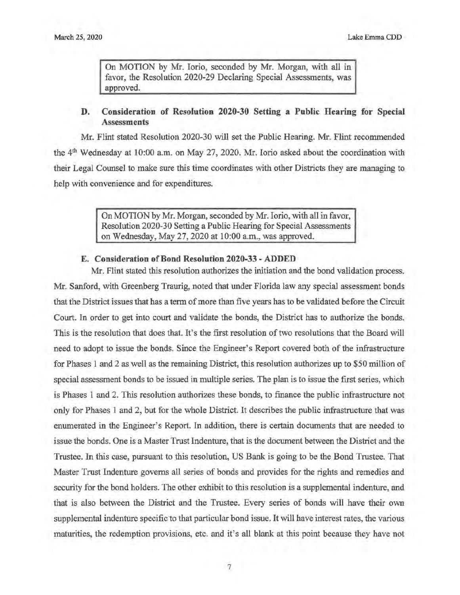On MOTION by Mr. Iorio, seconded by Mr. Morgan, with all in favor, the Resolution 2020-29 Declaring Special Assessments, was approved.

# **D. Consideration of Resolution 2020-30 Setting a Public Hearing for Special Assessments**

Mr. Flint stated Resolution 2020-30 will set the Public Hearing. Mr. Flint recommended the 4<sup>th</sup> Wednesday at 10:00 a.m. on May 27, 2020. Mr. Iorio asked about the coordination with their Legal Counsel to make sure this time coordinates with other Districts they are managing to help with convenience and for expenditures.

> On MOTION by Mr. Morgan, seconded by Mr. Iorio, with all in favor, Resolution 2020-30 Setting a Public Hearing for Special Assessments on Wednesday, May 27, 2020 at 10:00 a.m., was approved.

### **E. Consideration of Bond Resolution 2020-33 -ADDED**

Mr. Flint stated this resolution authorizes the initiation and the bond validation process. Mr. Sanford, with Greenberg Traurig, noted that under Florida law any special assessment bonds that the District issues that has a term of more than five years has to be validated before the Circuit Court. In order to get into court and validate the bonds, the District has to authorize the bonds. This is the resolution that does that. It's the first resolution of two resolutions that the Board will need to adopt to issue the bonds. Since the Engineer's Report covered both of the infrastructure for Phases 1 and 2 as well as the remaining District, this resolution authorizes up to \$50 million of special assessment bonds to be issued in multiple series. The plan is to issue the first series, which is Phases 1 and 2. This resolution authorizes these bonds, to finance the public infrastructure not only for Phases 1 and 2, but for the whole District. It describes the public infrastructure that was enumerated in the Engineer's Report. In addition, there is certain documents that are needed to issue the bonds. One is a Master Trust Indenture, that is the document between the District and the Trustee. In this case, pursuant to this resolution, US Bank is going to be the Bond Trustee. That Master Trust Indenture governs all series of bonds and provides for the rights and remedies and security for the bond holders. The other exhibit to this resolution is a supplemental indenture, and that is also between the District and the Trustee. Every series of bonds will have their own supplemental indenture specific to that particular bond issue. It will have interest rates, the various maturities, the redemption provisions, etc. and it's all blank at this point because they have not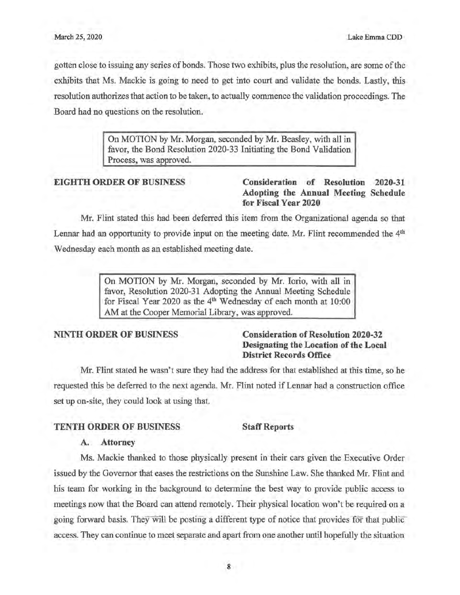gotten close to issuing any series of bonds. Those two exhibits, plus the resolution, are some of the exhibits that Ms. Mackie is going to need to get into court and validate the bonds. Lastly, this resolution authorizes that action to be taken, to actually commence the validation proceedings. The Board had no questions on the resolution.

> On MOTION by Mr. Morgan, seconded by Mr. Beasley, with all in favor, the Bond Resolution 2020-33 Initiating the Bond Validation Process, was approved.

# **EIGHTH ORDER OF BUSINESS Consideration of Resolution 2020-31 Adopting the Annual Meeting Schedule for Fiscal Year 2020**

Mr. Flint stated this had been deferred this item from the Organizational agenda so that Lennar had an opportunity to provide input on the meeting date. Mr. Flint recommended the 4<sup>th</sup> Wednesday each month as an established meeting date.

> On MOTION by Mr. Morgan, seconded by Mr. Iorio, with all in favor, Resolution 2020-31 Adopting the Annual Meeting Schedule for Fiscal Year 2020 as the 4<sup>th</sup> Wednesday of each month at 10:00 AM at the Cooper Memorial Library, was approved.

# **NINTH ORDER OF BUSINESS Consideration of Resolution 2020-32 Designating the Location of the Local District Records Office**

Mr. Flint stated he wasn't sure they had the address for that established at this time, so he requested this be deferred to the next agenda. Mr. Flint noted if Lennar had a construction office set up on-site, they could look at using that.

# **TENTH ORDER OF BUSINESS Staff Reports**

# **A. Attorney**

Ms. Mackie thanked to those physically present in their cars given the Executive Order issued by the Governor that eases the restrictions on the Sunshine Law. She thanked Mr. Flint and his team for working in the background to determine the best way to provide public access to meetings now that the Board can attend remotely. Their physical location won't be required on a going forward basis. They will be posting a different type of notice that provides for that public access. They can continue to meet separate and apart from one another until hopefully the situation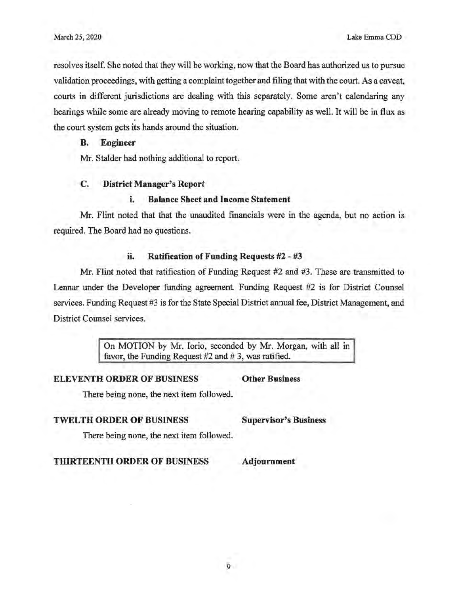resolves itself. She noted that they will be working, now that the Board has authorized us to pursue validation proceedings, with getting a complaint together and filing that with the court. As a caveat, courts in different jurisdictions are dealing with this separately. Some aren't calendaring any hearings while some are already moving to remote hearing capability as well. It will be in flux as the court system gets its hands around the situation.

#### **B. Engineer**

Mr. Stalder had nothing additional to report.

### **C. District Manager's Report**

#### i. **Balance Sheet and Income Statement**

Mr. Flint noted that that the unaudited financials were in the agenda, but no action is required. The Board had no questions.

#### ii. **Ratification of Funding Requests #2** - **#3**

Mr. Flint noted that ratification of Funding Request #2 and #3. These are transmitted to Lennar under the Developer funding agreement. Funding Request #2 is for District Counsel services. Funding Request #3 is for the State Special District annual fee, District Management, and District Counsel services.

> On MOTION by Mr. Iorio, seconded by Mr. Morgan, with all in favor, the Funding Request  $#2$  and  $# 3$ , was ratified.

**ELEVENTH ORDER OF BUSINESS Other Business** 

There being none, the next item followed.

# **TWELTH ORDER OF BUSINESS Supervisor's Business**

There being none, the next item followed.

**THIRTEENTH ORDER OF BUSINESS Adjournment**